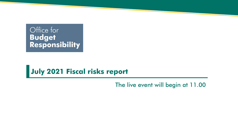# Office for Budget<br>Responsibility

#### **July 2021 Fiscal risks report**

The live event will begin at 11.00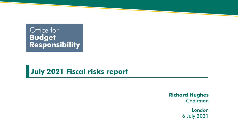# Office for Budget<br>Responsibility

#### **July 2021 Fiscal risks report**

**Richard Hughes** Chairman

> London 6 July 2021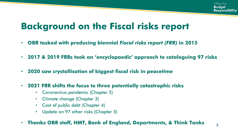## **Background on the Fiscal risks report**

- **OBR tasked with producing biennial** *Fiscal risks report (FRR)* **in 2015**
- **2017 & 2019 FRRs took an 'encyclopaedic' approach to cataloguing 97 risks**
- **2020 saw crystallisation of biggest fiscal risk in peacetime**
- **2021 FRR shifts the focus to three potentially catastrophic risks**
	- Coronavirus pandemic (Chapter 2)
	- Climate change (Chapter 3)
	- Cost of public debt (Chapter 4)
	- Update on 97 other risks (Chapter 5)
- **Thanks OBR staff, HMT, Bank of England, Departments, & Think Tanks <sup>3</sup>**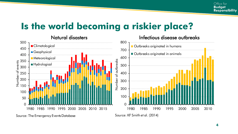#### **Is the world becoming a riskier place?**



Source: The Emergency Events Database

Source: KF Smith et al. (2014)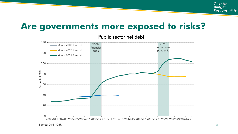#### **Are governments more exposed to risks?**

Public sector net debt

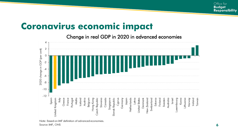#### **Coronavirus economic impact**

Change in real GDP in 2020 in advanced economies



Note: Based on IMF definition of advanced economies.

Source: IMF, ONS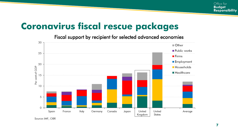#### **Coronavirus fiscal rescue packages**

Fiscal support by recipient for selected advanced economies



Source: IMF, OBR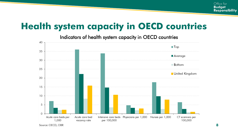## **Health system capacity in OECD countries**

Indicators of health system capacity in OECD countries

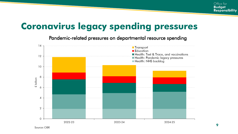## **Coronavirus legacy spending pressures**

Pandemic-related pressures on departmental resource spending

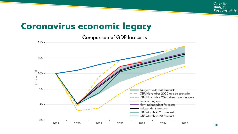#### **Coronavirus economic legacy**

Comparison of GDP forecasts

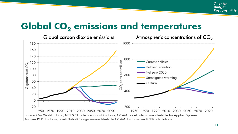#### **Global CO<sup>2</sup> emissions and temperatures**



Analysis RCP database, Joint Global Change Research Institute GCAM database, and OBR calculations.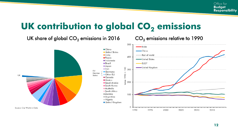### UK contribution to global CO<sub>2</sub> emissions

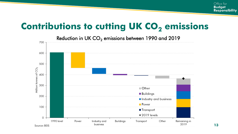## **Contributions to cutting UK CO<sub>2</sub> emissions**

Reduction in UK  $CO<sub>2</sub>$  emissions between 1990 and 2019 700 600 500 Million tonnes of CO<sub>2</sub> 400 300 Other **Buildings** 200 Industry and business **Power** 100 **Transport**  $\triangle$  2019 levels  $\Omega$ 1990 level Power Industry and Buildings Other Remaining in Transport 2019 business

Source: BEIS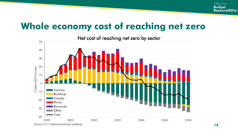## **Whole economy cost of reaching net zero**

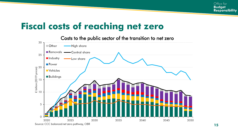### **Fiscal costs of reaching net zero**



Source: CCC balanced net zero pathway, OBR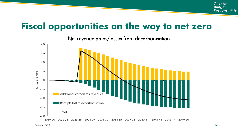#### **Fiscal opportunities on the way to net zero**

2.0  $1.5$  $1.0$  $0.5$ Per cent of GDP  $0.0$  $-0.5$ Additional carbon tax revenues  $-1.0$ Receipts lost to decarbonisation  $-1.5$  $-$ Total  $-2.0$ 2019-20 2022-23 2025-26 2031-32 2037-38 2040-41 2043-44 2046-47 2049-50 2028-29 2034-35

Net revenue gains/losses from decarbonisation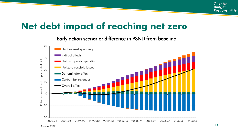### **Net debt impact of reaching net zero**

Early action scenario: difference in PSND from baseline

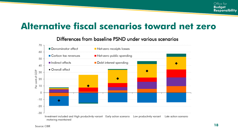#### **Alternative fiscal scenarios toward net zero**

#### Differences from baseline PSND under various scenarios

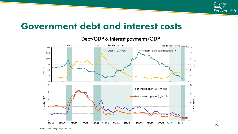#### **Government debt and interest costs**

#### Debt/GDP & Interest payments/GDP

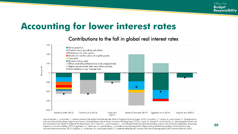#### **Accounting for lower interest rates**

#### Contributions to the fall in global real interest rates



Source: Rachel, L., and Smith, T., Secular drivers of the global real interest rate, Bank of England Working Paper, 2015; Carvalho, C., Ferrero, A., and Nechio, F., Demographics and real interest rates: Inspecting the mechanism, Federal Reserve Bank of San Francisco Working Paper, 2016; Lisack, N., Sajedi, R., and Thwaites, G., Demographic trends and the real interest rate, Bank of England Working Paper, 2017; Rachel, L., and Summers, L., On falling neutral real rates, fiscal policy, and the risk of secular stagnation, Brookings Papers on Economic Activity, 2019; Eggertsson, G., Mehrotra, N., and Robbins, J., A model of secular stagnation: Theory and quantitative evaluation, American Economic Journal: Macroeconomics, 2019; Gagnon, E., Johannsen, B., and Lopez-Salido, D., Understanding the new normal: The role of demographics, IMF Economic Review, 2021.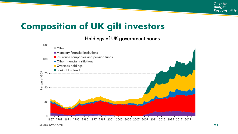### **Composition of UK gilt investors**

#### Holdings of UK government bonds

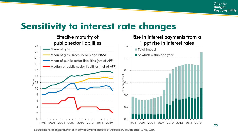#### **Sensitivity to interest rate changes**

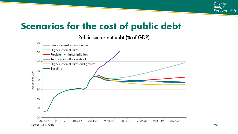#### **Scenarios for the cost of public debt**

#### Public sector net debt (% of GDP)

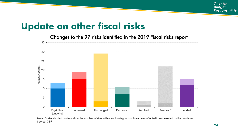#### **Update on other fiscal risks**

Changes to the 97 risks identified in the 2019 Fiscal risks report



Note: Darker shaded portions show the number of risks within each category that have been affected to some extent by the pandemic. Source: OBR